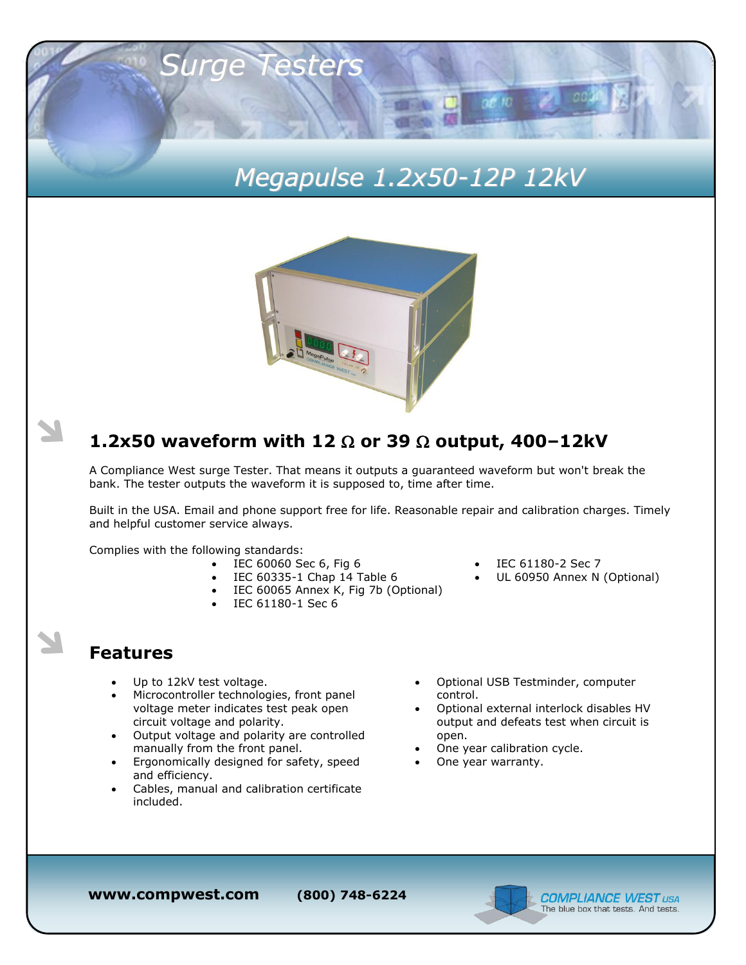# *Megapulse 1.2x50-12P 12kV*

 $25/10$ 



### **1.2x50 waveform with 12 or 39 output, 400–12kV**

A Compliance West surge Tester. That means it outputs a guaranteed waveform but won't break the bank. The tester outputs the waveform it is supposed to, time after time.

Built in the USA. Email and phone support free for life. Reasonable repair and calibration charges. Timely and helpful customer service always.

Complies with the following standards:

- IEC 60060 Sec 6, Fig 6
- $\bullet$  IEC 60335-1 Chap 14 Table 6
- IEC 60065 Annex K, Fig 7b (Optional)
- IEC 61180-1 Sec 6

*Surge Testers*

#### **Features**

- Up to 12kV test voltage.
- Microcontroller technologies, front panel voltage meter indicates test peak open circuit voltage and polarity.
- Output voltage and polarity are controlled manually from the front panel.
- Ergonomically designed for safety, speed and efficiency.
- Cables, manual and calibration certificate included.
- IEC 61180-2 Sec 7
- UL 60950 Annex N (Optional)
- Optional USB Testminder, computer control.
- Optional external interlock disables HV output and defeats test when circuit is open.
- One year calibration cycle.
- One year warranty.

**www.compwest.com (800) 748-6224**